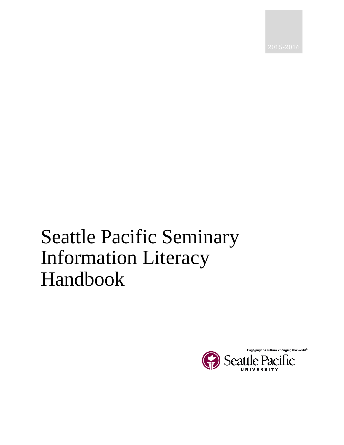# Seattle Pacific Seminary Information Literacy Handbook

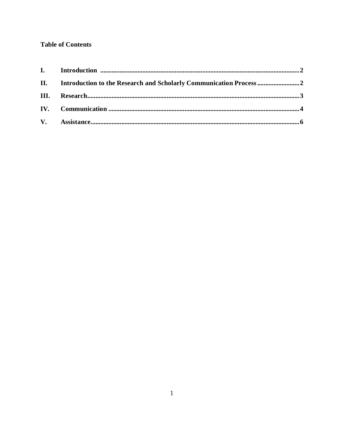## **Table of Contents**

| II. Introduction to the Research and Scholarly Communication Process |  |
|----------------------------------------------------------------------|--|
|                                                                      |  |
|                                                                      |  |
|                                                                      |  |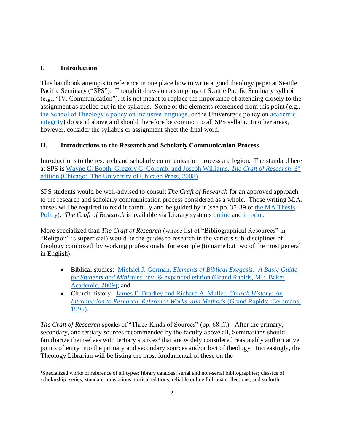#### **I. Introduction**

This handbook attempts to reference in one place how to write a good theology paper at Seattle Pacific Seminary ("SPS"). Though it draws on a sampling of Seattle Pacific Seminary syllabi (e.g., "IV. Communication"), it is not meant to replace the importance of attending closely to the assignment as spelled out in the syllabus. Some of the elements referenced from this point (e.g., [the School of Theology's policy on inclusive language,](http://spu.edu/academics/school-of-theology/about/inclusive-community) or the University's policy on [academic](http://spu.edu/acad/GRCatalog/20145/policies.asp)  [integrity\)](http://spu.edu/acad/GRCatalog/20145/policies.asp) do stand above and should therefore be common to all SPS syllabi. In other areas, however, consider the syllabus or assignment sheet the final word.

### **II. Introductions to the Research and Scholarly Communication Process**

Introductions to the research and scholarly communication process are legion. The standard here at SPS is [Wayne C. Booth, Gregory C. Colomb, and Joseph Williams,](http://press.uchicago.edu/ucp/books/book/chicago/C/bo5821939.html) *The Craft of Research,* 3 rd [edition \(Chicago: The University of Chicago Press, 2008\).](http://press.uchicago.edu/ucp/books/book/chicago/C/bo5821939.html)

SPS students would be well-advised to consult *The Craft of Research* for an approved approach to the research and scholarly communication process considered as a whole. Those writing M.A. theses will be required to read it carefully and be guided by it (see pp. 35-39 of [the MA Thesis](http://www.spu.edu/~/media/academics/school-of-theology/documents/2014-2015%20Seattle%20Pacific%20Seminary%20Student%20Handbook.ashx)  [Policy\)](http://www.spu.edu/~/media/academics/school-of-theology/documents/2014-2015%20Seattle%20Pacific%20Seminary%20Student%20Handbook.ashx). *The Craft of Research* is available via Library systems [online](http://alliance-primo.hosted.exlibrisgroup.com/SPU:CP71189330080001451) and [in print.](http://alliance-primo.hosted.exlibrisgroup.com/SPU:CP71110841080001451)

More specialized than *The Craft of Research* (whose list of "Bibliographical Resources" in "Religion" is superficial) would be the guides to research in the various sub-disciplines of theology composed by working professionals, for example (to name but two of the most general in English):

- Biblical studies: Michael J. Gorman*[, Elements of Biblical Exegesis: A Basic Guide](http://alliance-primo.hosted.exlibrisgroup.com/SPU:CP71133941630001451)  for Students and Ministers,* [rev. & expanded edition \(Grand Rapids, MI: Baker](http://alliance-primo.hosted.exlibrisgroup.com/SPU:CP71133941630001451)  [Academic, 2009\);](http://alliance-primo.hosted.exlibrisgroup.com/SPU:CP71133941630001451) and
- Church history: [James E. Bradley and Richard A. Muller,](http://alliance-primo.hosted.exlibrisgroup.com/SPU:CP71163526740001451) *Church History: An [Introduction to Research, Reference Works, and Methods](http://alliance-primo.hosted.exlibrisgroup.com/SPU:CP71163526740001451)* (Grand Rapids: Eerdmans, [1995\).](http://alliance-primo.hosted.exlibrisgroup.com/SPU:CP71163526740001451)

*The Craft of Research* speaks of "Three Kinds of Sources" (pp. 68 ff.). After the primary, secondary, and tertiary sources recommended by the faculty above all, Seminarians should familiarize themselves with tertiary sources<sup>1</sup> that are widely considered reasonably authoritative points of entry into the primary and secondary sources and/or loci of theology. Increasingly, the Theology Librarian will be listing the most fundamental of these on the

 $\overline{a}$ <sup>1</sup>Specialized works of reference of all types; library catalogs; serial and non-serial bibliographies; classics of scholarship; series; standard translations; critical editions; reliable online full-text collections; and so forth.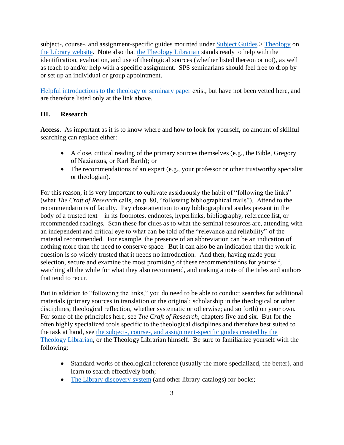subject-, course-, and assignment-specific guides mounted under [Subject Guides](http://spu.libguides.com/) > [Theology](http://spu.libguides.com/theology) on [the Library website.](http://spu.edu/library/) Note also that [the Theology Librarian](http://spu.libguides.com/theology) stands ready to help with the identification, evaluation, and use of theological sources (whether listed thereon or not), as well as teach to and/or help with a specific assignment. SPS seminarians should feel free to drop by or set up an individual or group appointment.

[Helpful introductions to the theology or seminary paper](http://spu.libguides.com/aecontent.php?pid=639539&sid=5292455) exist, but have not been vetted here, and are therefore listed only at the link above.

#### **III. Research**

**Access**. As important as it is to know where and how to look for yourself, no amount of skillful searching can replace either:

- A close, critical reading of the primary sources themselves (e.g., the Bible, Gregory of Nazianzus, or Karl Barth); or
- The recommendations of an expert (e.g., your professor or other trustworthy specialist or theologian).

For this reason, it is very important to cultivate assiduously the habit of "following the links" (what *The Craft of Research* calls, on p. 80, "following bibliographical trails"). Attend to the recommendations of faculty. Pay close attention to any bibliographical asides present in the body of a trusted text – in its footnotes, endnotes, hyperlinks, bibliography, reference list, or recommended readings. Scan these for clues as to what the seminal resources are, attending with an independent and critical eye to what can be told of the "relevance and reliability" of the material recommended. For example, the presence of an abbreviation can be an indication of nothing more than the need to conserve space. But it can also be an indication that the work in question is so widely trusted that it needs no introduction. And then, having made your selection, secure and examine the most promising of these recommendations for yourself, watching all the while for what they also recommend, and making a note of the titles and authors that tend to recur*.*

But in addition to "following the links," you do need to be able to conduct searches for additional materials (primary sources in translation or the original; scholarship in the theological or other disciplines; theological reflection, whether systematic or otherwise; and so forth) on your own. For some of the principles here, see *The Craft of Research,* chapters five and six. But for the often highly specialized tools specific to the theological disciplines and therefore best suited to the task at hand, see [the subject-, course-, and assignment-specific guides created by the](http://spu.libguides.com/theology)  [Theology Librarian,](http://spu.libguides.com/theology) or the Theology Librarian himself. Be sure to familiarize yourself with the following:

- Standard works of theological reference (usually the more specialized, the better), and learn to search effectively both;
- [The Library discovery system](http://spu.edu/library) (and other library catalogs) for books;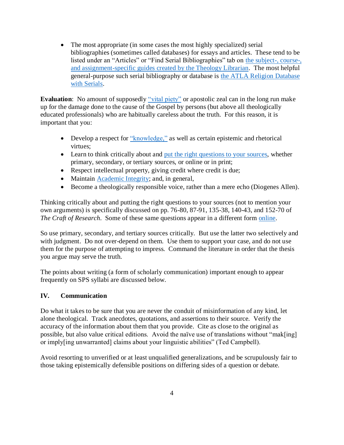• The most appropriate (in some cases the most highly specialized) serial bibliographies (sometimes called databases) for essays and articles. These tend to be listed under an "Articles" or "Find Serial Bibliographies" tab on [the subject-, course-,](http://spu.libguides.com/theology)  [and assignment-specific guides created by the Theology Librarian.](http://spu.libguides.com/theology) The most helpful general-purpose such serial bibliography or database is [the ATLA Religion Database](http://spu.edu/library/article-and-research-databases/databases-a-z#A)  [with Serials.](http://spu.edu/library/article-and-research-databases/databases-a-z#A)

**Evaluation**: No amount of supposedly ["vital piety"](http://www.umcdiscipleship.org/resources/come-father-son-and-holy-ghost) or apostolic zeal can in the long run make up for the damage done to the cause of the Gospel by persons (but above all theologically educated professionals) who are habitually careless about the truth. For this reason, it is important that you:

- Develop a respect for ["knowledge,"](http://www.umcdiscipleship.org/resources/come-father-son-and-holy-ghost) as well as certain epistemic and rhetorical virtues;
- Learn to think critically about and [put the right questions to your sources,](http://spu.libguides.com/theo/Theology/IdentifyingQuality) whether primary, secondary, or tertiary sources, or online or in print;
- Respect intellectual property, giving credit where credit is due;
- Maintain **Academic Integrity**; and, in general,
- Become a theologically responsible voice, rather than a mere echo (Diogenes Allen).

Thinking critically about and putting the right questions to your sources (not to mention your own arguments) is specifically discussed on pp. 76-80, 87-91, 135-38, 140-43, and 152-70 of *The Craft of Research.* Some of these same questions appear in a different form [online.](http://spu.libguides.com/theo/Theology/IdentifyingQuality)

So use primary, secondary, and tertiary sources critically*.* But use the latter two selectively and with judgment. Do not over-depend on them. Use them to support your case, and do not use them for the purpose of attempting to impress. Command the literature in order that the thesis you argue may serve the truth.

The points about writing (a form of scholarly communication) important enough to appear frequently on SPS syllabi are discussed below.

#### **IV. Communication**

Do what it takes to be sure that you are never the conduit of misinformation of any kind, let alone theological. Track anecdotes, quotations, and assertions to their source. Verify the accuracy of the information about them that you provide. Cite as close to the original as possible, but also value critical editions. Avoid the naïve use of translations without "mak[ing] or imply[ing unwarranted] claims about your linguistic abilities" (Ted Campbell).

Avoid resorting to unverified or at least unqualified generalizations, and be scrupulously fair to those taking epistemically defensible positions on differing sides of a question or debate.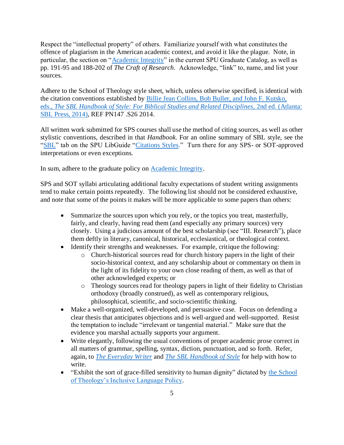Respect the "intellectual property" of others. Familiarize yourself with what constitutes the offence of plagiarism in the American academic context, and avoid it like the plague. Note, in particular, the section on ["Academic Integrity"](http://spu.edu/acad/GRCatalog/20145/policies.asp) in the current SPU Graduate Catalog, as well as pp. 191-95 and 188-202 of *The Craft of Research.* Acknowledge, "link" to, name, and list your sources.

Adhere to the School of Theology style sheet, which, unless otherwise specified, is identical with the citation conventions established by [Billie Jean Collins, Bob Buller, and John F. Kutsko,](http://alliance-primo.hosted.exlibrisgroup.com/SPU:CP71226278480001451)  eds., *[The SBL Handbook of Style: For Biblical Studies and Related Disciplines,](http://alliance-primo.hosted.exlibrisgroup.com/SPU:CP71226278480001451)* 2nd ed. (Atlanta: [SBL Press, 2014\),](http://alliance-primo.hosted.exlibrisgroup.com/SPU:CP71226278480001451) REF PN147 .S26 2014.

All written work submitted for SPS courses shall use the method of citing sources, as well as other stylistic conventions, described in that *Handbook.* For an online summary of SBL style, see the ["SBL"](http://spu.libguides.com/cite_sbl) tab on the SPU LibGuide ["Citations Styles.](http://spu.libguides.com/cite)" Turn there for any SPS- or SOT-approved interpretations or even exceptions.

In sum, adhere to the graduate policy on [Academic Integrity.](http://spu.edu/acad/GRCatalog/20145/policies.asp)

SPS and SOT syllabi articulating additional faculty expectations of student writing assignments tend to make certain points repeatedly. The following list should not be considered exhaustive, and note that some of the points it makes will be more applicable to some papers than others:

- Summarize the sources upon which you rely, or the topics you treat, masterfully, fairly, and clearly, having read them (and especially any primary sources) very closely. Using a judicious amount of the best scholarship (see "III. Research"), place them deftly in literary, canonical, historical, ecclesiastical, or theological context.
- Identify their strengths and weaknesses. For example, critique the following:
	- o Church-historical sources read for church history papers in the light of their socio-historical context, and any scholarship about or commentary on them in the light of its fidelity to your own close reading of them, as well as that of other acknowledged experts; or
	- o Theology sources read for theology papers in light of their fidelity to Christian orthodoxy (broadly construed), as well as contemporary religious, philosophical, scientific, and socio-scientific thinking.
- Make a well-organized, well-developed, and persuasive case. Focus on defending a clear thesis that anticipates objections and is well-argued and well-supported. Resist the temptation to include "irrelevant or tangential material." Make sure that the evidence you marshal actually supports your argument.
- Write elegantly, following the usual conventions of proper academic prose correct in all matters of grammar, spelling, syntax, diction, punctuation, and so forth. Refer, again, to *[The Everyday Writer](http://alliance-primo.hosted.exlibrisgroup.com/SPU:CP71182244630001451)* and *[The SBL Handbook of Style](http://alliance-primo.hosted.exlibrisgroup.com/SPU:CP71226278480001451)* for help with how to write.
- "Exhibit the sort of grace-filled sensitivity to human dignity" dictated by [the School](http://spu.edu/academics/school-of-theology/about/inclusive-community)  [of Theology's Inclusive Language Policy.](http://spu.edu/academics/school-of-theology/about/inclusive-community)